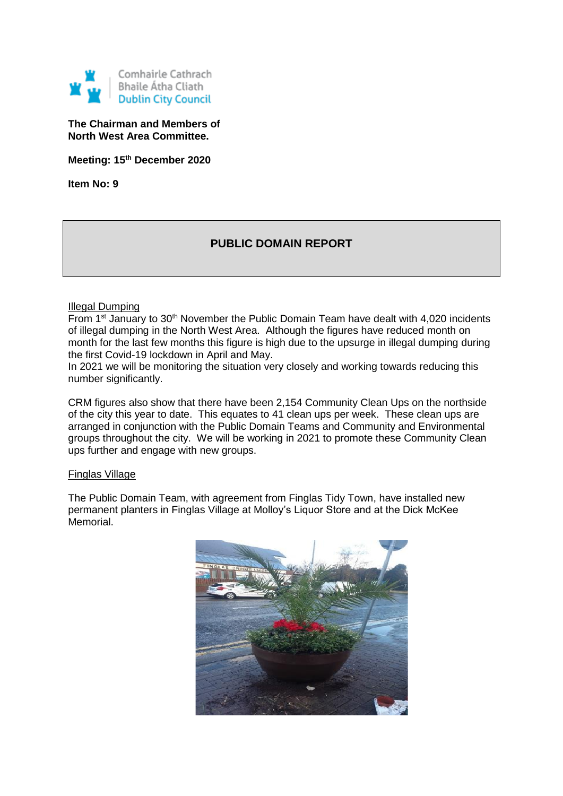

**The Chairman and Members of North West Area Committee.**

**Meeting: 15th December 2020**

**Item No: 9**

# **PUBLIC DOMAIN REPORT**

## Illegal Dumping

From 1<sup>st</sup> January to 30<sup>th</sup> November the Public Domain Team have dealt with 4,020 incidents of illegal dumping in the North West Area. Although the figures have reduced month on month for the last few months this figure is high due to the upsurge in illegal dumping during the first Covid-19 lockdown in April and May.

In 2021 we will be monitoring the situation very closely and working towards reducing this number significantly.

CRM figures also show that there have been 2,154 Community Clean Ups on the northside of the city this year to date. This equates to 41 clean ups per week. These clean ups are arranged in conjunction with the Public Domain Teams and Community and Environmental groups throughout the city. We will be working in 2021 to promote these Community Clean ups further and engage with new groups.

#### Finglas Village

The Public Domain Team, with agreement from Finglas Tidy Town, have installed new permanent planters in Finglas Village at Molloy's Liquor Store and at the Dick McKee Memorial.